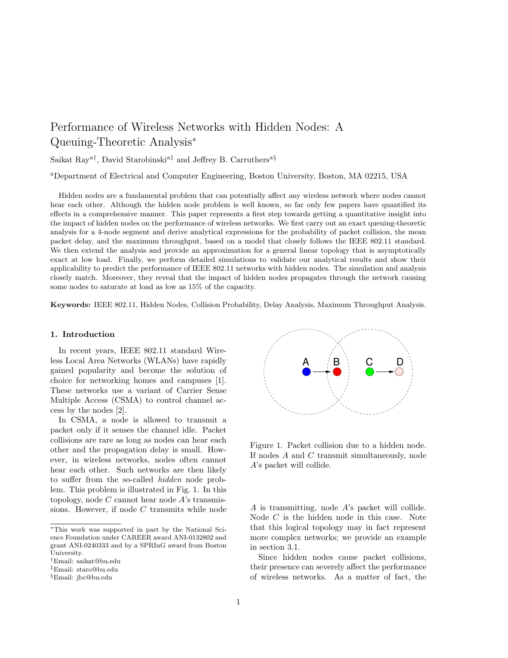# Performance of Wireless Networks with Hidden Nodes: A Queuing-Theoretic Analysis<sup>∗</sup>

Saikat Ray<sup>a†</sup>, David Starobinski<sup>a‡</sup> and Jeffrey B. Carruthers<sup>a§</sup>

<sup>a</sup>Department of Electrical and Computer Engineering, Boston University, Boston, MA 02215, USA

Hidden nodes are a fundamental problem that can potentially affect any wireless network where nodes cannot hear each other. Although the hidden node problem is well known, so far only few papers have quantified its effects in a comprehensive manner. This paper represents a first step towards getting a quantitative insight into the impact of hidden nodes on the performance of wireless networks. We first carry out an exact queuing-theoretic analysis for a 4-node segment and derive analytical expressions for the probability of packet collision, the mean packet delay, and the maximum throughput, based on a model that closely follows the IEEE 802.11 standard. We then extend the analysis and provide an approximation for a general linear topology that is asymptotically exact at low load. Finally, we perform detailed simulations to validate our analytical results and show their applicability to predict the performance of IEEE 802.11 networks with hidden nodes. The simulation and analysis closely match. Moreover, they reveal that the impact of hidden nodes propagates through the network causing some nodes to saturate at load as low as 15% of the capacity.

Keywords: IEEE 802.11, Hidden Nodes, Collision Probability, Delay Analysis, Maximum Throughput Analysis.

## 1. Introduction

In recent years, IEEE 802.11 standard Wireless Local Area Networks (WLANs) have rapidly gained popularity and become the solution of choice for networking homes and campuses [1]. These networks use a variant of Carrier Sense Multiple Access (CSMA) to control channel access by the nodes [2].

In CSMA, a node is allowed to transmit a packet only if it senses the channel idle. Packet collisions are rare as long as nodes can hear each other and the propagation delay is small. However, in wireless networks, nodes often cannot hear each other. Such networks are then likely to suffer from the so-called hidden node problem. This problem is illustrated in Fig. 1. In this topology, node  $C$  cannot hear node  $A$ 's transmissions. However, if node C transmits while node



Figure 1. Packet collision due to a hidden node. If nodes A and C transmit simultaneously, node A's packet will collide.

A is transmitting, node A's packet will collide. Node C is the hidden node in this case. Note that this logical topology may in fact represent more complex networks; we provide an example in section 3.1.

Since hidden nodes cause packet collisions, their presence can severely affect the performance of wireless networks. As a matter of fact, the

<sup>∗</sup>This work was supported in part by the National Science Foundation under CAREER award ANI-0132802 and grant ANI-0240333 and by a SPRInG award from Boston University.

<sup>†</sup>Email: saikat@bu.edu

<sup>‡</sup>Email: staro@bu.edu

<sup>§</sup>Email: jbc@bu.edu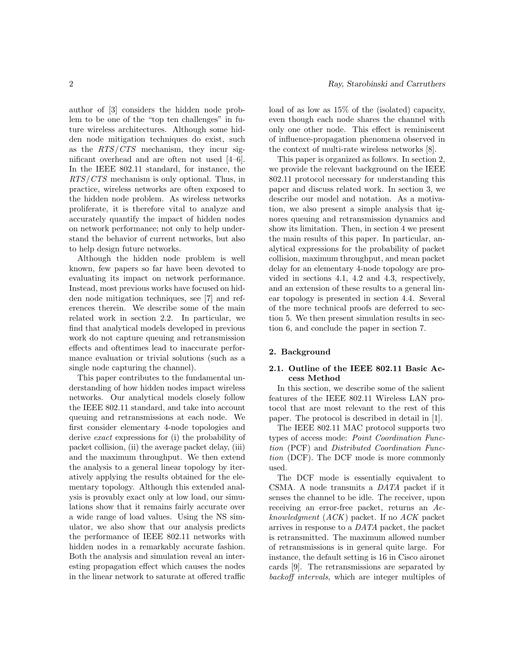author of [3] considers the hidden node problem to be one of the "top ten challenges" in future wireless architectures. Although some hidden node mitigation techniques do exist, such as the  $RTS/CTS$  mechanism, they incur significant overhead and are often not used [4–6]. In the IEEE 802.11 standard, for instance, the RTS/CTS mechanism is only optional. Thus, in practice, wireless networks are often exposed to the hidden node problem. As wireless networks proliferate, it is therefore vital to analyze and accurately quantify the impact of hidden nodes on network performance; not only to help understand the behavior of current networks, but also to help design future networks.

Although the hidden node problem is well known, few papers so far have been devoted to evaluating its impact on network performance. Instead, most previous works have focused on hidden node mitigation techniques, see [7] and references therein. We describe some of the main related work in section 2.2. In particular, we find that analytical models developed in previous work do not capture queuing and retransmission effects and oftentimes lead to inaccurate performance evaluation or trivial solutions (such as a single node capturing the channel).

This paper contributes to the fundamental understanding of how hidden nodes impact wireless networks. Our analytical models closely follow the IEEE 802.11 standard, and take into account queuing and retransmissions at each node. We first consider elementary 4-node topologies and derive exact expressions for (i) the probability of packet collision, (ii) the average packet delay, (iii) and the maximum throughput. We then extend the analysis to a general linear topology by iteratively applying the results obtained for the elementary topology. Although this extended analysis is provably exact only at low load, our simulations show that it remains fairly accurate over a wide range of load values. Using the NS simulator, we also show that our analysis predicts the performance of IEEE 802.11 networks with hidden nodes in a remarkably accurate fashion. Both the analysis and simulation reveal an interesting propagation effect which causes the nodes in the linear network to saturate at offered traffic load of as low as 15% of the (isolated) capacity, even though each node shares the channel with only one other node. This effect is reminiscent of influence-propagation phenomena observed in the context of multi-rate wireless networks [8].

This paper is organized as follows. In section 2, we provide the relevant background on the IEEE 802.11 protocol necessary for understanding this paper and discuss related work. In section 3, we describe our model and notation. As a motivation, we also present a simple analysis that ignores queuing and retransmission dynamics and show its limitation. Then, in section 4 we present the main results of this paper. In particular, analytical expressions for the probability of packet collision, maximum throughput, and mean packet delay for an elementary 4-node topology are provided in sections 4.1, 4.2 and 4.3, respectively, and an extension of these results to a general linear topology is presented in section 4.4. Several of the more technical proofs are deferred to section 5. We then present simulation results in section 6, and conclude the paper in section 7.

# 2. Background

# 2.1. Outline of the IEEE 802.11 Basic Access Method

In this section, we describe some of the salient features of the IEEE 802.11 Wireless LAN protocol that are most relevant to the rest of this paper. The protocol is described in detail in [1].

The IEEE 802.11 MAC protocol supports two types of access mode: Point Coordination Function (PCF) and Distributed Coordination Function (DCF). The DCF mode is more commonly used.

The DCF mode is essentially equivalent to CSMA. A node transmits a DATA packet if it senses the channel to be idle. The receiver, upon receiving an error-free packet, returns an Acknowledgment (ACK) packet. If no ACK packet arrives in response to a DATA packet, the packet is retransmitted. The maximum allowed number of retransmissions is in general quite large. For instance, the default setting is 16 in Cisco aironet cards [9]. The retransmissions are separated by backoff intervals, which are integer multiples of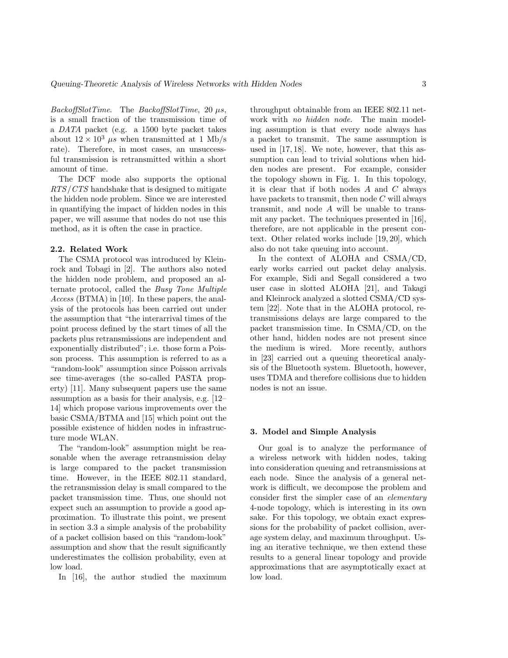$BackoffSlotTime.$  The  $BackoffSlotTime, 20 \mu s,$ is a small fraction of the transmission time of a DATA packet (e.g. a 1500 byte packet takes about  $12 \times 10^3$   $\mu$ s when transmitted at 1 Mb/s rate). Therefore, in most cases, an unsuccessful transmission is retransmitted within a short amount of time.

The DCF mode also supports the optional RTS/CTS handshake that is designed to mitigate the hidden node problem. Since we are interested in quantifying the impact of hidden nodes in this paper, we will assume that nodes do not use this method, as it is often the case in practice.

## 2.2. Related Work

The CSMA protocol was introduced by Kleinrock and Tobagi in [2]. The authors also noted the hidden node problem, and proposed an alternate protocol, called the Busy Tone Multiple Access (BTMA) in [10]. In these papers, the analysis of the protocols has been carried out under the assumption that "the interarrival times of the point process defined by the start times of all the packets plus retransmissions are independent and exponentially distributed"; i.e. those form a Poisson process. This assumption is referred to as a "random-look" assumption since Poisson arrivals see time-averages (the so-called PASTA property) [11]. Many subsequent papers use the same assumption as a basis for their analysis, e.g. [12– 14] which propose various improvements over the basic CSMA/BTMA and [15] which point out the possible existence of hidden nodes in infrastructure mode WLAN.

The "random-look" assumption might be reasonable when the average retransmission delay is large compared to the packet transmission time. However, in the IEEE 802.11 standard, the retransmission delay is small compared to the packet transmission time. Thus, one should not expect such an assumption to provide a good approximation. To illustrate this point, we present in section 3.3 a simple analysis of the probability of a packet collision based on this "random-look" assumption and show that the result significantly underestimates the collision probability, even at low load.

In [16], the author studied the maximum

throughput obtainable from an IEEE 802.11 network with no hidden node. The main modeling assumption is that every node always has a packet to transmit. The same assumption is used in [17, 18]. We note, however, that this assumption can lead to trivial solutions when hidden nodes are present. For example, consider the topology shown in Fig. 1. In this topology, it is clear that if both nodes  $A$  and  $C$  always have packets to transmit, then node  $C$  will always transmit, and node A will be unable to transmit any packet. The techniques presented in [16], therefore, are not applicable in the present context. Other related works include [19, 20], which also do not take queuing into account.

In the context of ALOHA and CSMA/CD, early works carried out packet delay analysis. For example, Sidi and Segall considered a two user case in slotted ALOHA [21], and Takagi and Kleinrock analyzed a slotted CSMA/CD system [22]. Note that in the ALOHA protocol, retransmissions delays are large compared to the packet transmission time. In CSMA/CD, on the other hand, hidden nodes are not present since the medium is wired. More recently, authors in [23] carried out a queuing theoretical analysis of the Bluetooth system. Bluetooth, however, uses TDMA and therefore collisions due to hidden nodes is not an issue.

#### 3. Model and Simple Analysis

Our goal is to analyze the performance of a wireless network with hidden nodes, taking into consideration queuing and retransmissions at each node. Since the analysis of a general network is difficult, we decompose the problem and consider first the simpler case of an elementary 4-node topology, which is interesting in its own sake. For this topology, we obtain exact expressions for the probability of packet collision, average system delay, and maximum throughput. Using an iterative technique, we then extend these results to a general linear topology and provide approximations that are asymptotically exact at low load.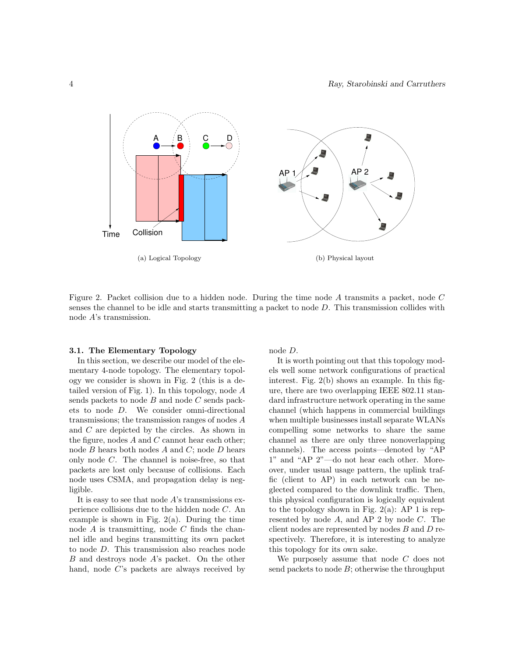

Figure 2. Packet collision due to a hidden node. During the time node A transmits a packet, node C senses the channel to be idle and starts transmitting a packet to node D. This transmission collides with node A's transmission.

### 3.1. The Elementary Topology

In this section, we describe our model of the elementary 4-node topology. The elementary topology we consider is shown in Fig. 2 (this is a detailed version of Fig. 1). In this topology, node  $A$ sends packets to node  $B$  and node  $C$  sends packets to node D. We consider omni-directional transmissions; the transmission ranges of nodes A and C are depicted by the circles. As shown in the figure, nodes  $A$  and  $C$  cannot hear each other; node  $B$  hears both nodes  $A$  and  $C$ ; node  $D$  hears only node C. The channel is noise-free, so that packets are lost only because of collisions. Each node uses CSMA, and propagation delay is negligible.

It is easy to see that node  $A$ 's transmissions experience collisions due to the hidden node C. An example is shown in Fig.  $2(a)$ . During the time node  $A$  is transmitting, node  $C$  finds the channel idle and begins transmitting its own packet to node D. This transmission also reaches node B and destroys node A's packet. On the other hand, node C's packets are always received by node D.

It is worth pointing out that this topology models well some network configurations of practical interest. Fig. 2(b) shows an example. In this figure, there are two overlapping IEEE 802.11 standard infrastructure network operating in the same channel (which happens in commercial buildings when multiple businesses install separate WLANs compelling some networks to share the same channel as there are only three nonoverlapping channels). The access points—denoted by "AP 1" and "AP 2"—do not hear each other. Moreover, under usual usage pattern, the uplink traffic (client to AP) in each network can be neglected compared to the downlink traffic. Then, this physical configuration is logically equivalent to the topology shown in Fig.  $2(a)$ : AP 1 is represented by node A, and AP 2 by node C. The client nodes are represented by nodes  $B$  and  $D$  respectively. Therefore, it is interesting to analyze this topology for its own sake.

We purposely assume that node C does not send packets to node  $B$ ; otherwise the throughput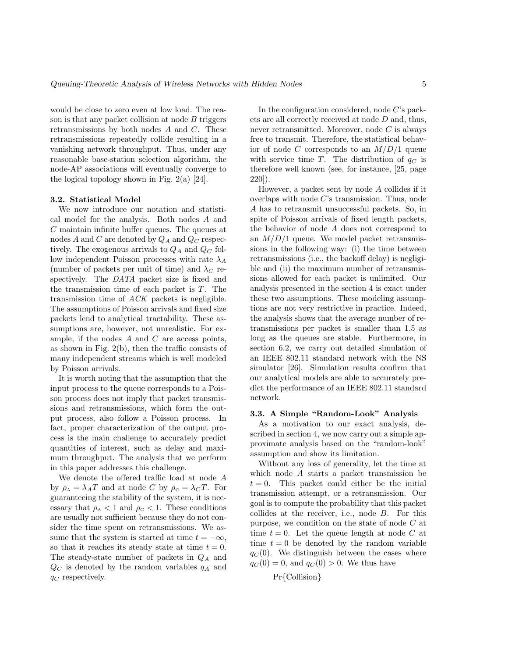would be close to zero even at low load. The reason is that any packet collision at node  $B$  triggers retransmissions by both nodes A and C. These retransmissions repeatedly collide resulting in a vanishing network throughput. Thus, under any reasonable base-station selection algorithm, the node-AP associations will eventually converge to the logical topology shown in Fig.  $2(a)$  [24].

# 3.2. Statistical Model

We now introduce our notation and statistical model for the analysis. Both nodes A and C maintain infinite buffer queues. The queues at nodes A and C are denoted by  $Q_A$  and  $Q_C$  respectively. The exogenous arrivals to  $Q_A$  and  $Q_C$  follow independent Poisson processes with rate  $\lambda_A$ (number of packets per unit of time) and  $\lambda_C$  respectively. The DATA packet size is fixed and the transmission time of each packet is T. The transmission time of ACK packets is negligible. The assumptions of Poisson arrivals and fixed size packets lend to analytical tractability. These assumptions are, however, not unrealistic. For example, if the nodes  $A$  and  $C$  are access points, as shown in Fig. 2(b), then the traffic consists of many independent streams which is well modeled by Poisson arrivals.

It is worth noting that the assumption that the input process to the queue corresponds to a Poisson process does not imply that packet transmissions and retransmissions, which form the output process, also follow a Poisson process. In fact, proper characterization of the output process is the main challenge to accurately predict quantities of interest, such as delay and maximum throughput. The analysis that we perform in this paper addresses this challenge.

We denote the offered traffic load at node A by  $\rho_A = \lambda_A T$  and at node C by  $\rho_C = \lambda_C T$ . For guaranteeing the stability of the system, it is necessary that  $\rho_A < 1$  and  $\rho_C < 1$ . These conditions are usually not sufficient because they do not consider the time spent on retransmissions. We assume that the system is started at time  $t = -\infty$ , so that it reaches its steady state at time  $t = 0$ . The steady-state number of packets in  $Q_A$  and  $Q_C$  is denoted by the random variables  $q_A$  and  $q_C$  respectively.

In the configuration considered, node C's packets are all correctly received at node D and, thus, never retransmitted. Moreover, node C is always free to transmit. Therefore, the statistical behavior of node C corresponds to an  $M/D/1$  queue with service time T. The distribution of  $q_C$  is therefore well known (see, for instance, [25, page 220]).

However, a packet sent by node A collides if it overlaps with node C's transmission. Thus, node A has to retransmit unsuccessful packets. So, in spite of Poisson arrivals of fixed length packets, the behavior of node A does not correspond to an  $M/D/1$  queue. We model packet retransmissions in the following way: (i) the time between retransmissions (i.e., the backoff delay) is negligible and (ii) the maximum number of retransmissions allowed for each packet is unlimited. Our analysis presented in the section 4 is exact under these two assumptions. These modeling assumptions are not very restrictive in practice. Indeed, the analysis shows that the average number of retransmissions per packet is smaller than 1.5 as long as the queues are stable. Furthermore, in section 6.2, we carry out detailed simulation of an IEEE 802.11 standard network with the NS simulator [26]. Simulation results confirm that our analytical models are able to accurately predict the performance of an IEEE 802.11 standard network.

#### 3.3. A Simple "Random-Look" Analysis

As a motivation to our exact analysis, described in section 4, we now carry out a simple approximate analysis based on the "random-look" assumption and show its limitation.

Without any loss of generality, let the time at which node A starts a packet transmission be  $t = 0$ . This packet could either be the initial transmission attempt, or a retransmission. Our goal is to compute the probability that this packet collides at the receiver, i.e., node B. For this purpose, we condition on the state of node  $C$  at time  $t = 0$ . Let the queue length at node C at time  $t = 0$  be denoted by the random variable  $q_C (0)$ . We distinguish between the cases where  $q_C(0) = 0$ , and  $q_C(0) > 0$ . We thus have

$$
Pr{Collision}
$$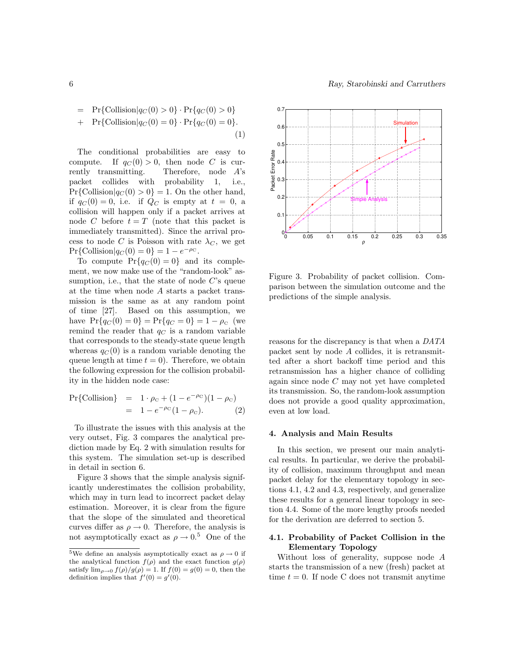6 Ray, Starobinski and Carruthers

$$
= \Pr\{\text{Collision}|q_C(0) > 0\} \cdot \Pr\{q_C(0) > 0\} \n+ \Pr\{\text{Collision}|q_C(0) = 0\} \cdot \Pr\{q_C(0) = 0\}.
$$
\n(1)

The conditional probabilities are easy to compute. If  $q_C(0) > 0$ , then node C is currently transmitting. Therefore, node A's packet collides with probability 1, i.e.,  $Pr{Collision|q_C(0) > 0} = 1.$  On the other hand, if  $q_C(0) = 0$ , i.e. if  $Q_C$  is empty at  $t = 0$ , a collision will happen only if a packet arrives at node C before  $t = T$  (note that this packet is immediately transmitted). Since the arrival process to node C is Poisson with rate  $\lambda_C$ , we get  $Pr{Collision|q_C(0) = 0} = 1 - e^{-\rho_C}.$ 

To compute  $Pr{q_C(0) = 0}$  and its complement, we now make use of the "random-look" assumption, i.e., that the state of node  $C$ 's queue at the time when node A starts a packet transmission is the same as at any random point of time [27]. Based on this assumption, we have  $Pr{q_C(0) = 0} = Pr{q_C = 0} = 1 - \rho_c$  (we remind the reader that  $q_C$  is a random variable that corresponds to the steady-state queue length whereas  $q_C(0)$  is a random variable denoting the queue length at time  $t = 0$ ). Therefore, we obtain the following expression for the collision probability in the hidden node case:

$$
Pr{Collision} = 1 \cdot \rho_c + (1 - e^{-\rho c})(1 - \rho_c)
$$
  
= 1 - e^{-\rho c}(1 - \rho\_c). (2)

To illustrate the issues with this analysis at the very outset, Fig. 3 compares the analytical prediction made by Eq. 2 with simulation results for this system. The simulation set-up is described in detail in section 6.

Figure 3 shows that the simple analysis significantly underestimates the collision probability, which may in turn lead to incorrect packet delay estimation. Moreover, it is clear from the figure that the slope of the simulated and theoretical curves differ as  $\rho \rightarrow 0$ . Therefore, the analysis is not asymptotically exact as  $\rho \to 0.5$  One of the



Figure 3. Probability of packet collision. Comparison between the simulation outcome and the predictions of the simple analysis.

reasons for the discrepancy is that when a DATA packet sent by node A collides, it is retransmitted after a short backoff time period and this retransmission has a higher chance of colliding again since node C may not yet have completed its transmission. So, the random-look assumption does not provide a good quality approximation, even at low load.

## 4. Analysis and Main Results

In this section, we present our main analytical results. In particular, we derive the probability of collision, maximum throughput and mean packet delay for the elementary topology in sections 4.1, 4.2 and 4.3, respectively, and generalize these results for a general linear topology in section 4.4. Some of the more lengthy proofs needed for the derivation are deferred to section 5.

# 4.1. Probability of Packet Collision in the Elementary Topology

Without loss of generality, suppose node A starts the transmission of a new (fresh) packet at time  $t = 0$ . If node C does not transmit anytime

 $^5\mathrm{We}$  define an analysis asymptotically exact as  $\rho\rightarrow 0$  if the analytical function  $f(\rho)$  and the exact function  $g(\rho)$ satisfy  $\lim_{\rho\to 0} \frac{f(\rho)}{g(\rho)} = 1$ . If  $f(0) = g(0) = 0$ , then the definition implies that  $f'(0) = g'(0)$ .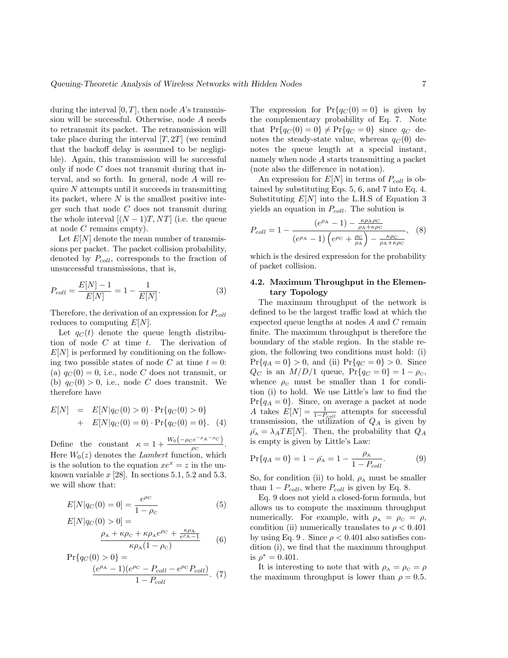during the interval  $[0, T]$ , then node A's transmission will be successful. Otherwise, node A needs to retransmit its packet. The retransmission will take place during the interval  $[T, 2T]$  (we remind that the backoff delay is assumed to be negligible). Again, this transmission will be successful only if node C does not transmit during that interval, and so forth. In general, node A will require  $N$  attempts until it succeeds in transmitting its packet, where  $N$  is the smallest positive integer such that node C does not transmit during the whole interval  $[(N-1)T, NT]$  (i.e. the queue at node C remains empty).

Let  $E[N]$  denote the mean number of transmissions per packet. The packet collision probability, denoted by  $P_{coll}$ , corresponds to the fraction of unsuccessful transmissions, that is,

$$
P_{coll} = \frac{E[N] - 1}{E[N]} = 1 - \frac{1}{E[N]}.
$$
\n(3)

Therefore, the derivation of an expression for  $P_{coll}$ reduces to computing  $E[N]$ .

Let  $q_C(t)$  denote the queue length distribution of node  $C$  at time  $t$ . The derivation of  $E[N]$  is performed by conditioning on the following two possible states of node C at time  $t = 0$ : (a)  $q_C(0) = 0$ , i.e., node C does not transmit, or (b)  $q_C(0) > 0$ , i.e., node C does transmit. We therefore have

$$
E[N] = E[N|q_C(0) > 0) \cdot Pr\{q_C(0) > 0\} + E[N|q_C(0) = 0) \cdot Pr\{q_C(0) = 0\}.
$$
 (4)

Define the constant  $\kappa = 1 + \frac{W_0(-\rho_C e^{-\rho_A - \rho_C})}{\rho_C}$  $\frac{\rho}{\rho_{\rm C}}$ . Here  $W_0(z)$  denotes the *Lambert* function, which is the solution to the equation  $xe^{x} = z$  in the unknown variable  $x$  [28]. In sections 5.1, 5.2 and 5.3, we will show that:

$$
E[N|q_C(0) = 0] = \frac{e^{\rho_C}}{1 - \rho_C}
$$
(5)  

$$
E[N|q_C(0) > 0] =
$$

$$
E[N|q_C(0) > 0] =
$$
  

$$
\frac{\rho_A + \kappa \rho_C + \kappa \rho_A e^{\rho_C} + \frac{\kappa \rho_A}{e^{\rho_A} - 1}}{\kappa \rho_A (1 - \rho_C)}
$$
 (6)

$$
Pr{q_C(0) > 0} = \n \frac{(e^{\rho_A} - 1)(e^{\rho_C} - P_{coll} - e^{\rho_C} P_{coll})}{1 - P_{coll}}.
$$
 (7)

The expression for  $Pr\{q_C(0) = 0\}$  is given by the complementary probability of Eq. 7. Note that  $Pr{q_C(0) = 0} \neq Pr{q_C = 0}$  since  $q_C$  denotes the steady-state value, whereas  $q_C(0)$  denotes the queue length at a special instant, namely when node A starts transmitting a packet (note also the difference in notation).

An expression for  $E[N]$  in terms of  $P_{coll}$  is obtained by substituting Eqs. 5, 6, and 7 into Eq. 4. Substituting  $E[N]$  into the L.H.S of Equation 3 yields an equation in  $P_{coll}$ . The solution is

$$
P_{coll} = 1 - \frac{(e^{\rho_{\rm A}} - 1) - \frac{\kappa \rho_{\rm A} \rho_{\rm C}}{\rho_{\rm A} + \kappa \rho_{\rm C}}}{(e^{\rho_{\rm A}} - 1) \left(e^{\rho_{\rm C}} + \frac{\rho_{\rm C}}{\rho_{\rm A}}\right) - \frac{\kappa \rho_{\rm C}}{\rho_{\rm A} + \kappa \rho_{\rm C}}}, \quad (8)
$$

which is the desired expression for the probability of packet collision.

# 4.2. Maximum Throughput in the Elementary Topology

The maximum throughput of the network is defined to be the largest traffic load at which the expected queue lengths at nodes A and C remain finite. The maximum throughput is therefore the boundary of the stable region. In the stable region, the following two conditions must hold: (i)  $Pr{q_A = 0} > 0$ , and (ii)  $Pr{q_C = 0} > 0$ . Since  $Q_C$  is an  $M/D/1$  queue,  $Pr\{q_C = 0\} = 1 - \rho_C$ , whence  $\rho_c$  must be smaller than 1 for condition (i) to hold. We use Little's law to find the  $Pr{q_A = 0}$ . Since, on average a packet at node A takes  $E[N] = \frac{1}{1-P_{coll}}$  attempts for successful transmission, the utilization of  $Q_A$  is given by  $\bar{\rho_A} = \lambda_A TE[N]$ . Then, the probability that  $Q_A$ is empty is given by Little's Law:

$$
\Pr\{q_A = 0\} = 1 - \bar{\rho_A} = 1 - \frac{\rho_A}{1 - P_{coll}}.\tag{9}
$$

So, for condition (ii) to hold,  $\rho_A$  must be smaller than  $1 - P_{coll}$ , where  $P_{coll}$  is given by Eq. 8.

Eq. 9 does not yield a closed-form formula, but allows us to compute the maximum throughput numerically. For example, with  $\rho_A = \rho_C = \rho$ , condition (ii) numerically translates to  $\rho < 0.401$ by using Eq. 9. Since  $\rho < 0.401$  also satisfies condition (i), we find that the maximum throughput is  $\rho^* = 0.401$ .

It is interesting to note that with  $\rho_A = \rho_C = \rho$ the maximum throughput is lower than  $\rho = 0.5$ .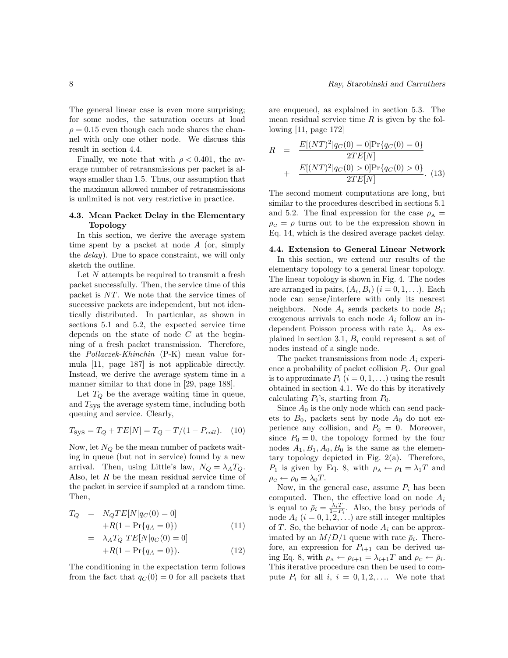The general linear case is even more surprising; for some nodes, the saturation occurs at load  $\rho = 0.15$  even though each node shares the channel with only one other node. We discuss this result in section 4.4.

Finally, we note that with  $\rho < 0.401$ , the average number of retransmissions per packet is always smaller than 1.5. Thus, our assumption that the maximum allowed number of retransmissions is unlimited is not very restrictive in practice.

# 4.3. Mean Packet Delay in the Elementary Topology

In this section, we derive the average system time spent by a packet at node A (or, simply the *delay*). Due to space constraint, we will only sketch the outline.

Let N attempts be required to transmit a fresh packet successfully. Then, the service time of this packet is NT. We note that the service times of successive packets are independent, but not identically distributed. In particular, as shown in sections 5.1 and 5.2, the expected service time depends on the state of node C at the beginning of a fresh packet transmission. Therefore, the Pollaczek-Khinchin (P-K) mean value formula [11, page 187] is not applicable directly. Instead, we derive the average system time in a manner similar to that done in [29, page 188].

Let  $T_Q$  be the average waiting time in queue, and  $T_{\rm sys}$  the average system time, including both queuing and service. Clearly,

$$
T_{\rm sys} = T_Q + TE[N] = T_Q + T/(1 - P_{coll}). \quad (10)
$$

Now, let  $N_Q$  be the mean number of packets waiting in queue (but not in service) found by a new arrival. Then, using Little's law,  $N_Q = \lambda_A T_Q$ . Also, let  $R$  be the mean residual service time of the packet in service if sampled at a random time. Then,

$$
T_Q = N_Q TE[N|q_C(0) = 0]
$$
  
+
$$
R(1 - \Pr{q_A = 0})
$$
  
= 
$$
\lambda_A T_Q TE[N|q_C(0) = 0]
$$
 (11)

$$
+R(1 - \Pr\{q_A = 0\}).
$$
 (12)

The conditioning in the expectation term follows from the fact that  $q_C(0) = 0$  for all packets that

are enqueued, as explained in section 5.3. The mean residual service time  $R$  is given by the following [11, page 172]

$$
R = \frac{E[(NT)^{2}|q_{C}(0) = 0]Pr{q_{C}(0) = 0}}{2TE[N]} + \frac{E[(NT)^{2}|q_{C}(0) > 0]Pr{q_{C}(0) > 0}}{2TE[N]}.
$$
 (13)

The second moment computations are long, but similar to the procedures described in sections 5.1 and 5.2. The final expression for the case  $\rho_A =$  $\rho_c = \rho$  turns out to be the expression shown in Eq. 14, which is the desired average packet delay.

## 4.4. Extension to General Linear Network

In this section, we extend our results of the elementary topology to a general linear topology. The linear topology is shown in Fig. 4. The nodes are arranged in pairs,  $(A_i, B_i)$   $(i = 0, 1, \ldots)$ . Each node can sense/interfere with only its nearest neighbors. Node  $A_i$  sends packets to node  $B_i$ ; exogenous arrivals to each node  $A_i$  follow an independent Poisson process with rate  $\lambda_i$ . As explained in section 3.1,  $B_i$  could represent a set of nodes instead of a single node.

The packet transmissions from node  $A_i$  experience a probability of packet collision  $P_i$ . Our goal is to approximate  $P_i$   $(i = 0, 1, ...)$  using the result obtained in section 4.1. We do this by iteratively calculating  $P_i$ 's, starting from  $P_0$ .

Since  $A_0$  is the only node which can send packets to  $B_0$ , packets sent by node  $A_0$  do not experience any collision, and  $P_0 = 0$ . Moreover, since  $P_0 = 0$ , the topology formed by the four nodes  $A_1, B_1, A_0, B_0$  is the same as the elementary topology depicted in Fig. 2(a). Therefore,  $P_1$  is given by Eq. 8, with  $\rho_A \leftarrow \rho_1 = \lambda_1 T$  and  $\rho_{\rm c} \leftarrow \rho_0 = \lambda_0 T$ .

Now, in the general case, assume  $P_i$  has been computed. Then, the effective load on node  $A_i$ is equal to  $\bar{\rho}_i = \frac{\lambda_i T}{1 - P_i}$ . Also, the busy periods of node  $A_i$   $(i = 0, 1, 2, ...)$  are still integer multiples of T. So, the behavior of node  $A_i$  can be approximated by an  $M/D/1$  queue with rate  $\bar{\rho}_i$ . Therefore, an expression for  $P_{i+1}$  can be derived using Eq. 8, with  $\rho_A \leftarrow \rho_{i+1} = \lambda_{i+1} T$  and  $\rho_C \leftarrow \bar{\rho}_i$ . This iterative procedure can then be used to compute  $P_i$  for all  $i, i = 0, 1, 2, \ldots$  We note that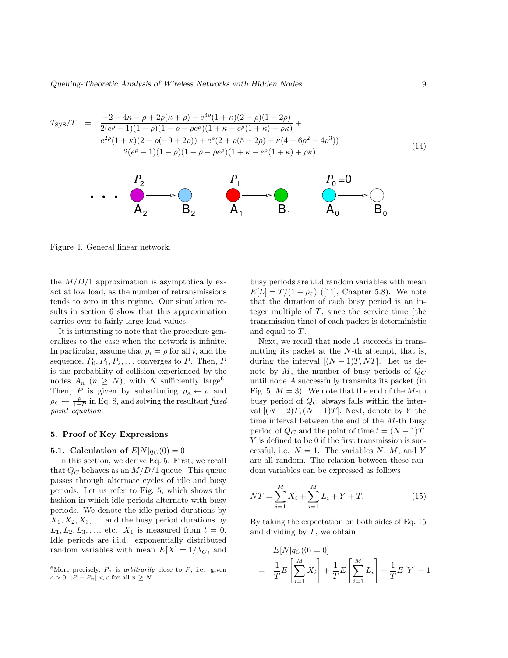Queuing-Theoretic Analysis of Wireless Networks with Hidden Nodes 9

$$
T_{\rm sys}/T = \frac{-2 - 4\kappa - \rho + 2\rho(\kappa + \rho) - e^{3\rho}(1 + \kappa)(2 - \rho)(1 - 2\rho)}{2(e^{\rho} - 1)(1 - \rho)(1 - \rho - \rho e^{\rho})(1 + \kappa - e^{\rho}(1 + \kappa) + \rho \kappa)} + \frac{e^{2\rho}(1 + \kappa)(2 + \rho(-9 + 2\rho)) + e^{\rho}(2 + \rho(5 - 2\rho) + \kappa(4 + 6\rho^2 - 4\rho^3))}{2(e^{\rho} - 1)(1 - \rho)(1 - \rho - \rho e^{\rho})(1 + \kappa - e^{\rho}(1 + \kappa) + \rho \kappa)}
$$
(14)



Figure 4. General linear network.

the  $M/D/1$  approximation is asymptotically exact at low load, as the number of retransmissions tends to zero in this regime. Our simulation results in section 6 show that this approximation carries over to fairly large load values.

It is interesting to note that the procedure generalizes to the case when the network is infinite. In particular, assume that  $\rho_i = \rho$  for all *i*, and the sequence,  $P_0, P_1, P_2, \ldots$  converges to P. Then, P is the probability of collision experienced by the nodes  $A_n$   $(n \geq N)$ , with N sufficiently large<sup>6</sup>. Then, P is given by substituting  $\rho_A \leftarrow \rho$  and  $\rho_{\rm C} \leftarrow \frac{\rho}{1-P}$  in Eq. 8, and solving the resultant fixed point equation.

#### 5. Proof of Key Expressions

#### **5.1.** Calculation of  $E[N]q_C(0) = 0$

In this section, we derive Eq. 5. First, we recall that  $Q_C$  behaves as an  $M/D/1$  queue. This queue passes through alternate cycles of idle and busy periods. Let us refer to Fig. 5, which shows the fashion in which idle periods alternate with busy periods. We denote the idle period durations by  $X_1, X_2, X_3, \ldots$  and the busy period durations by  $L_1, L_2, L_3, \ldots$ , etc.  $X_1$  is measured from  $t = 0$ . Idle periods are i.i.d. exponentially distributed random variables with mean  $E[X] = 1/\lambda_C$ , and busy periods are i.i.d random variables with mean  $E[L] = T/(1 - \rho_c)$  ([11], Chapter 5.8). We note that the duration of each busy period is an integer multiple of  $T$ , since the service time (the transmission time) of each packet is deterministic and equal to T.

Next, we recall that node A succeeds in transmitting its packet at the N-th attempt, that is, during the interval  $[(N-1)T, NT]$ . Let us denote by  $M$ , the number of busy periods of  $Q_C$ until node A successfully transmits its packet (in Fig. 5,  $M = 3$ ). We note that the end of the M-th busy period of  $Q_C$  always falls within the interval  $[(N-2)T,(N-1)T]$ . Next, denote by Y the time interval between the end of the M-th busy period of  $Q_C$  and the point of time  $t = (N-1)T$ . Y is defined to be 0 if the first transmission is successful, i.e.  $N = 1$ . The variables N, M, and Y are all random. The relation between these random variables can be expressed as follows

$$
NT = \sum_{i=1}^{M} X_i + \sum_{i=1}^{M} L_i + Y + T.
$$
 (15)

By taking the expectation on both sides of Eq. 15 and dividing by  $T$ , we obtain

$$
E[N|q_C(0) = 0]
$$
  
=  $\frac{1}{T}E\left[\sum_{i=1}^{M} X_i\right] + \frac{1}{T}E\left[\sum_{i=1}^{M} L_i\right] + \frac{1}{T}E[Y] + 1$ 

<sup>&</sup>lt;sup>6</sup>More precisely,  $P_n$  is arbitrarily close to  $P$ ; i.e. given  $\epsilon > 0, |P - P_n| < \epsilon$  for all  $n \geq N$ .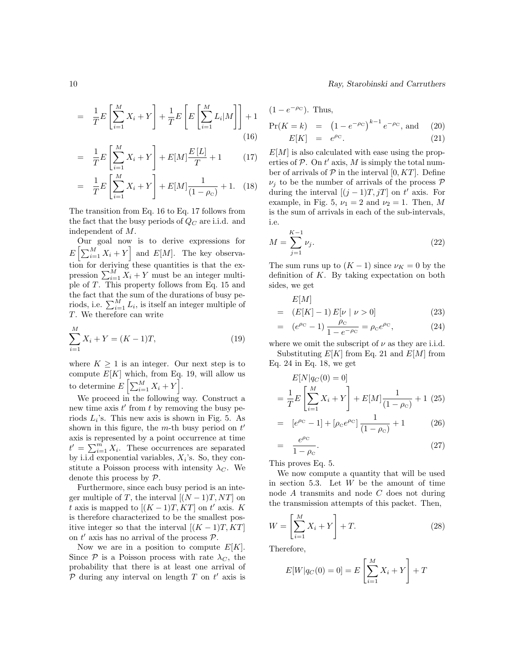$=\frac{1}{\pi}$  $\frac{1}{T}E\left[\sum_{i=1}^M\right]$  $i=1$  $X_i + Y$ 1  $+\frac{1}{7}$  $\frac{1}{T}E$  $\sqrt{ }$  $E\left[\sum_{i=1}^{M}\right]$  $i=1$  $L_i|M$   $\Big] + 1$ (16)

$$
= \frac{1}{T}E\left[\sum_{i=1}^{M} X_i + Y\right] + E[M]\frac{E[L]}{T} + 1 \qquad (17)
$$

$$
= \frac{1}{T}E\left[\sum_{i=1}^{M} X_i + Y\right] + E[M]\frac{1}{(1-\rho_{\rm c})} + 1. \quad (18)
$$

The transition from Eq. 16 to Eq. 17 follows from the fact that the busy periods of  $Q_C$  are i.i.d. and independent of M.

Our goal now is to derive expressions for  $E\left[\sum_{i=1}^{M} X_i + Y\right]$  and  $E[M]$ . The key observation for deriving these quantities is that the expression  $\sum_{i=1}^{M} X_i + Y$  must be an integer multiple of T. This property follows from Eq. 15 and the fact that the sum of the durations of busy periods, i.e.  $\sum_{i=1}^{M} L_i$ , is itself an integer multiple of T. We therefore can write

$$
\sum_{i=1}^{M} X_i + Y = (K - 1)T,\tag{19}
$$

where  $K \geq 1$  is an integer. Our next step is to compute  $E[K]$  which, from Eq. 19, will allow us to determine  $E\left[\sum_{i=1}^{M} X_i + Y\right]$ .

We proceed in the following way. Construct a new time axis  $t'$  from  $t$  by removing the busy periods  $L_i$ 's. This new axis is shown in Fig. 5. As shown in this figure, the  $m$ -th busy period on  $t'$ axis is represented by a point occurrence at time  $t' = \sum_{i=1}^{m} X_i$ . These occurrences are separated by i.i.d exponential variables,  $X_i$ 's. So, they constitute a Poisson process with intensity  $\lambda_C$ . We denote this process by P.

Furthermore, since each busy period is an integer multiple of T, the interval  $[(N-1)T, NT]$  on t axis is mapped to  $[(K-1)T, KT]$  on t' axis. K is therefore characterized to be the smallest positive integer so that the interval  $[(K-1)T, KT]$ on  $t'$  axis has no arrival of the process  $P$ .

Now we are in a position to compute  $E[K]$ . Since  $P$  is a Poisson process with rate  $\lambda_C$ , the probability that there is at least one arrival of  $P$  during any interval on length  $T$  on  $t'$  axis is

10 Ray, Starobinski and Carruthers

$$
(1 - e^{-\rho C}). \text{ Thus,}
$$
  
Pr(K = k) =  $(1 - e^{-\rho C})^{k-1} e^{-\rho C}$ , and (20)  

$$
E[K] = e^{\rho C}. \qquad (21)
$$

 $E[M]$  is also calculated with ease using the properties of  $P$ . On  $t'$  axis, M is simply the total number of arrivals of  $P$  in the interval [0, KT]. Define  $\nu_i$  to be the number of arrivals of the process  $\mathcal P$ during the interval  $[(j-1)T, jT]$  on t' axis. For example, in Fig. 5,  $\nu_1 = 2$  and  $\nu_2 = 1$ . Then, M is the sum of arrivals in each of the sub-intervals, i.e.

$$
M = \sum_{j=1}^{K-1} \nu_j.
$$
 (22)

The sum runs up to  $(K-1)$  since  $\nu_K = 0$  by the definition of K. By taking expectation on both sides, we get

$$
E[M] = (E[K] - 1) E[\nu | \nu > 0]
$$
 (23)

$$
= (e^{\rho_{\rm C}} - 1) \frac{\rho_{\rm C}}{1 - e^{-\rho_{\rm C}}} = \rho_{\rm C} e^{\rho_{\rm C}}, \qquad (24)
$$

where we omit the subscript of  $\nu$  as they are i.i.d. Substituting  $E[K]$  from Eq. 21 and  $E[M]$  from

Eq. 24 in Eq. 18, we get

$$
E[N|q_C(0) = 0]
$$
  
=  $\frac{1}{T}E\left[\sum_{i=1}^{M} X_i + Y\right] + E[M]\frac{1}{(1 - \rho_C)} + 1$  (25)  
=  $[\rho^{\rho_C} - 1] + [\rho_C \rho^{\rho_C}] \frac{1}{(1 - \rho_C)} + 1$  (26)

$$
= [e^{\rho_C} - 1] + [\rho_C e^{\rho_C}] \frac{1}{(1 - \rho_C)} + 1 \tag{26}
$$

$$
= \frac{e^{\rho c}}{1 - \rho_c}.\tag{27}
$$

This proves Eq. 5.

We now compute a quantity that will be used in section 5.3. Let  $W$  be the amount of time node A transmits and node C does not during the transmission attempts of this packet. Then,

$$
W = \left[\sum_{i=1}^{M} X_i + Y\right] + T.
$$
\n(28)

Therefore,

$$
E[W|q_C(0) = 0] = E\left[\sum_{i=1}^{M} X_i + Y\right] + T
$$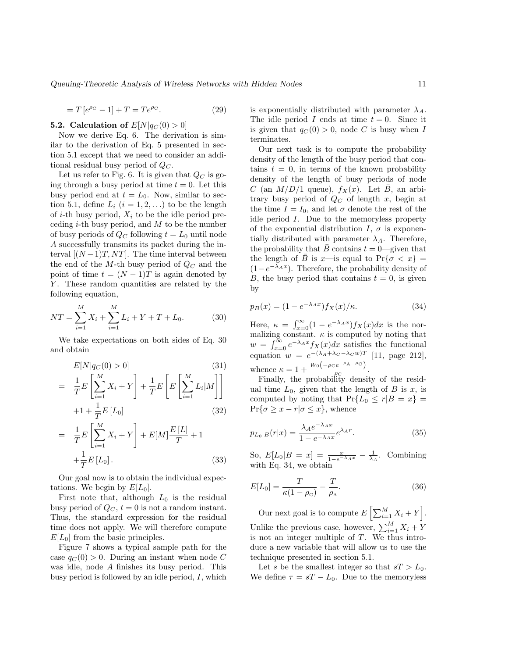$$
=T[e^{\rho c}-1]+T=Te^{\rho c}.
$$
 (29)

**5.2.** Calculation of  $E[N|q_C(0) > 0]$ 

Now we derive Eq. 6. The derivation is similar to the derivation of Eq. 5 presented in section 5.1 except that we need to consider an additional residual busy period of  $Q_C$ .

Let us refer to Fig. 6. It is given that  $Q_C$  is going through a busy period at time  $t = 0$ . Let this busy period end at  $t = L_0$ . Now, similar to section 5.1, define  $L_i$   $(i = 1, 2, ...)$  to be the length of *i*-th busy period,  $X_i$  to be the idle period preceding  $i$ -th busy period, and  $M$  to be the number of busy periods of  $Q_C$  following  $t = L_0$  until node A successfully transmits its packet during the interval  $[(N-1)T, NT]$ . The time interval between the end of the  $M$ -th busy period of  $Q_C$  and the point of time  $t = (N-1)T$  is again denoted by Y. These random quantities are related by the following equation,

$$
NT = \sum_{i=1}^{M} X_i + \sum_{i=1}^{M} L_i + Y + T + L_0.
$$
 (30)

We take expectations on both sides of Eq. 30 and obtain

$$
E[N|q_C(0) > 0] \tag{31}
$$

$$
= \frac{1}{T}E\left[\sum_{i=1}^{M} X_i + Y\right] + \frac{1}{T}E\left[E\left[\sum_{i=1}^{M} L_i|M\right]\right]
$$

$$
+1 + \frac{1}{T}E\left[L_0\right]
$$
(32)

$$
= \frac{1}{T}E\left[\sum_{i=1}^{M} X_i + Y\right] + E[M]\frac{E[L]}{T} + 1 + \frac{1}{T}E[L_0].
$$
\n(33)

Our goal now is to obtain the individual expectations. We begin by  $E[L_0]$ .

First note that, although  $L_0$  is the residual busy period of  $Q_C$ ,  $t = 0$  is not a random instant. Thus, the standard expression for the residual time does not apply. We will therefore compute  $E[L_0]$  from the basic principles.

Figure 7 shows a typical sample path for the case  $q_C(0) > 0$ . During an instant when node C was idle, node A finishes its busy period. This busy period is followed by an idle period,  $I$ , which is exponentially distributed with parameter  $\lambda_A$ . The idle period I ends at time  $t = 0$ . Since it is given that  $q_C(0) > 0$ , node C is busy when I terminates.

Our next task is to compute the probability density of the length of the busy period that contains  $t = 0$ , in terms of the known probability density of the length of busy periods of node C (an  $M/D/1$  queue),  $f_X(x)$ . Let  $\overline{B}$ , an arbitrary busy period of  $Q_C$  of length x, begin at the time  $I = I_0$ , and let  $\sigma$  denote the rest of the idle period I. Due to the memoryless property of the exponential distribution  $I, \sigma$  is exponentially distributed with parameter  $\lambda_A$ . Therefore, the probability that  $\bar{B}$  contains  $t = 0$ —given that the length of  $\bar{B}$  is x—is equal to  $Pr{\sigma < x} =$  $(1-e^{-\lambda_A x})$ . Therefore, the probability density of B, the busy period that contains  $t = 0$ , is given by

$$
p_B(x) = (1 - e^{-\lambda_A x}) f_X(x) / \kappa.
$$
 (34)

Here,  $\kappa = \int_{x=0}^{\infty} (1 - e^{-\lambda_A x}) f_X(x) dx$  is the normalizing constant.  $\kappa$  is computed by noting that  $w = \int_{x=0}^{\infty} e^{-\lambda_A x} f_X(x) dx$  satisfies the functional equation  $w = e^{-(\lambda_A + \lambda_C - \lambda_C w)T}$  [11, page 212], whence  $\kappa = 1 + \frac{W_0(-\rho_C e^{-\rho_A - \rho_C})}{\rho_C}$  $\frac{\rho}{\rho_{\rm C}}$ .

Finally, the probability density of the residual time  $L_0$ , given that the length of B is x, is computed by noting that  $Pr{L_0 \le r | B = x}$  $Pr{\sigma \geq x - r | \sigma \leq x}$ , whence

$$
p_{L_0|B}(r|x) = \frac{\lambda_A e^{-\lambda_A x}}{1 - e^{-\lambda_A x}} e^{\lambda_A r}.
$$
 (35)

So,  $E[L_0|B = x] = \frac{x}{1-e^{-\lambda_A x}} - \frac{1}{\lambda_A}$ . Combining with Eq. 34, we obtain

$$
E[L_0] = \frac{T}{\kappa (1 - \rho_{\rm c})} - \frac{T}{\rho_{\rm A}}.\tag{36}
$$

Our next goal is to compute  $E\left[\sum_{i=1}^{M} X_i + Y\right]$ . Unlike the previous case, however,  $\sum_{i=1}^{M} X_i + Y$ is not an integer multiple of T. We thus introduce a new variable that will allow us to use the technique presented in section 5.1.

Let s be the smallest integer so that  $sT > L_0$ . We define  $\tau = sT - L_0$ . Due to the memoryless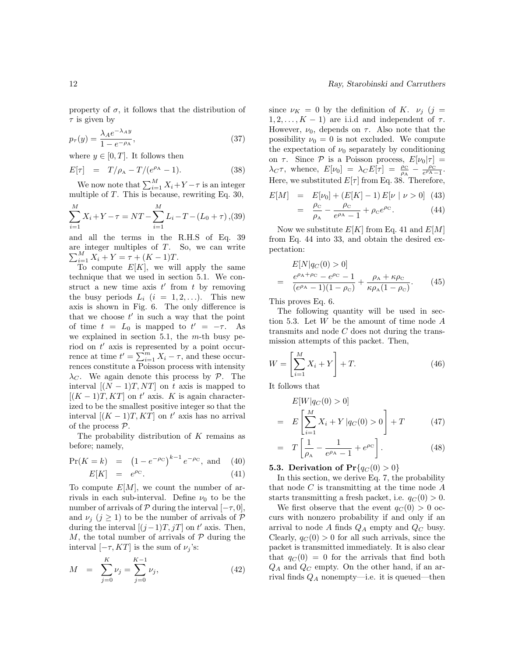property of  $\sigma$ , it follows that the distribution of  $\tau$  is given by

$$
p_{\tau}(y) = \frac{\lambda_A e^{-\lambda_A y}}{1 - e^{-\rho_A}},\tag{37}
$$

where  $y \in [0, T]$ . It follows then

$$
E[\tau] = T/\rho_A - T/(e^{\rho_A} - 1). \tag{38}
$$

We now note that  $\sum_{i=1}^{M} X_i + Y - \tau$  is an integer multiple of T. This is because, rewriting Eq. 30,

$$
\sum_{i=1}^{M} X_i + Y - \tau = NT - \sum_{i=1}^{M} L_i - T - (L_0 + \tau), (39)
$$

and all the terms in the R.H.S of Eq. 39  $\sum_{i=1}^{M} X_i + Y = \tau + (K - 1)T.$ are integer multiples of  $T$ . So, we can write

To compute  $E[K]$ , we will apply the same technique that we used in section 5.1. We construct a new time axis  $t'$  from  $t$  by removing the busy periods  $L_i$   $(i = 1, 2, ...)$ . This new axis is shown in Fig. 6. The only difference is that we choose  $t'$  in such a way that the point of time  $t = L_0$  is mapped to  $t' = -\tau$ . As we explained in section 5.1, the  $m$ -th busy period on  $t'$  axis is represented by a point occurrence at time  $t' = \sum_{i=1}^{m} X_i - \tau$ , and these occurrences constitute a Poisson process with intensity  $\lambda_C$ . We again denote this process by P. The interval  $[(N-1)T, NT]$  on t axis is mapped to  $[(K-1)T, KT]$  on t' axis. K is again characterized to be the smallest positive integer so that the interval  $[(K-1)T, KT]$  on  $t'$  axis has no arrival of the process  $P$ .

The probability distribution of K remains as before; namely,

$$
\Pr(K = k) = (1 - e^{-\rho c})^{k-1} e^{-\rho c}, \text{ and } (40)
$$
  

$$
E[K] = e^{\rho c}. \tag{41}
$$

To compute  $E[M]$ , we count the number of arrivals in each sub-interval. Define  $\nu_0$  to be the number of arrivals of  $P$  during the interval  $[-\tau, 0]$ , and  $\nu_i$  ( $j \geq 1$ ) to be the number of arrivals of P during the interval  $[(j-1)T, jT]$  on  $t'$  axis. Then, M, the total number of arrivals of  $P$  during the interval  $[-\tau, KT]$  is the sum of  $\nu_i$ 's:

$$
M = \sum_{j=0}^{K} \nu_j = \sum_{j=0}^{K-1} \nu_j,
$$
\n(42)

since  $\nu_K = 0$  by the definition of K.  $\nu_j$  (j =  $1, 2, \ldots, K - 1$  are i.i.d and independent of  $\tau$ . However,  $\nu_0$ , depends on  $\tau$ . Also note that the possibility  $\nu_0 = 0$  is not excluded. We compute the expectation of  $\nu_0$  separately by conditioning on  $\tau$ . Since  $\mathcal P$  is a Poisson process,  $E[\nu_0|\tau] =$  $\lambda_C \tau$ , whence,  $E[\nu_0] = \lambda_C E[\tau] = \frac{\rho_C}{\rho_A} - \frac{\rho_C}{e^{\rho_A} - 1}.$ Here, we substituted  $E[\tau]$  from Eq. 38. Therefore,

$$
E[M] = E[\nu_0] + (E[K] - 1) E[\nu | \nu > 0] \quad (43)
$$
  
=  $\frac{\rho_c}{\rho_A} - \frac{\rho_c}{e^{\rho_A} - 1} + \rho_c e^{\rho_c}.$  (44)

Now we substitute  $E[K]$  from Eq. 41 and  $E[M]$ from Eq. 44 into 33, and obtain the desired expectation:

$$
E[N|q_C(0) > 0]
$$
  
= 
$$
\frac{e^{\rho_A + \rho_C} - e^{\rho_C} - 1}{(e^{\rho_A} - 1)(1 - \rho_C)} + \frac{\rho_A + \kappa \rho_C}{\kappa \rho_A (1 - \rho_C)}.
$$
 (45)

This proves Eq. 6.

The following quantity will be used in section 5.3. Let  $W$  be the amount of time node  $A$ transmits and node C does not during the transmission attempts of this packet. Then,

$$
W = \left[\sum_{i=1}^{M} X_i + Y\right] + T.
$$
\n(46)

It follows that

$$
E[W|q_C(0) > 0]
$$
  
= 
$$
E\left[\sum_{i=1}^{M} X_i + Y|q_C(0) > 0\right] + T
$$
 (47)

$$
= T\left[\frac{1}{\rho_{\rm A}} - \frac{1}{e^{\rho_{\rm A}} - 1} + e^{\rho_{\rm C}}\right]. \tag{48}
$$

5.3. Derivation of  $\Pr\{q_C(0) > 0\}$ 

In this section, we derive Eq. 7, the probability that node  $C$  is transmitting at the time node  $A$ starts transmitting a fresh packet, i.e.  $q_C(0) > 0$ .

We first observe that the event  $q_C(0) > 0$  occurs with nonzero probability if and only if an arrival to node A finds  $Q_A$  empty and  $Q_C$  busy. Clearly,  $q_C(0) > 0$  for all such arrivals, since the packet is transmitted immediately. It is also clear that  $q_C(0) = 0$  for the arrivals that find both  $Q_A$  and  $Q_C$  empty. On the other hand, if an arrival finds  $Q_A$  nonempty—i.e. it is queued—then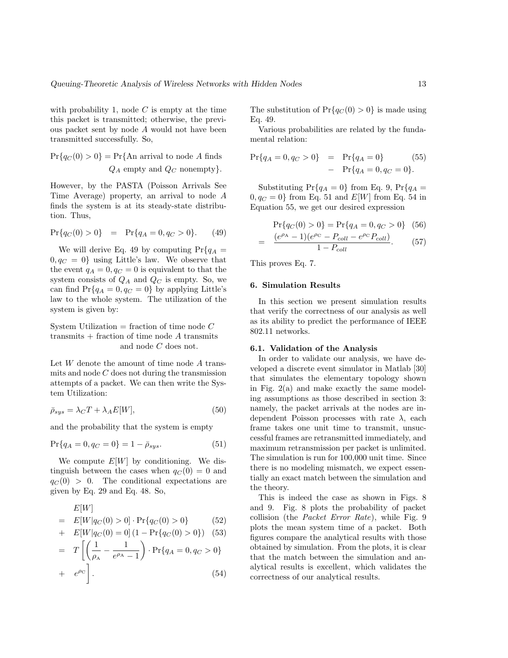with probability 1, node  $C$  is empty at the time this packet is transmitted; otherwise, the previous packet sent by node A would not have been transmitted successfully. So,

$$
Pr{q_C(0) > 0} = Pr{An arrival to node A finds}
$$
  
 
$$
Q_A \text{ empty and } Q_C \text{ nonempty}.
$$

However, by the PASTA (Poisson Arrivals See Time Average) property, an arrival to node A finds the system is at its steady-state distribution. Thus,

$$
Pr{q_C(0) > 0} = Pr{q_A = 0, q_C > 0}.
$$
 (49)

We will derive Eq. 49 by computing  $Pr{q_A =$  $0, q_C = 0$  using Little's law. We observe that the event  $q_A = 0, q_C = 0$  is equivalent to that the system consists of  $Q_A$  and  $Q_C$  is empty. So, we can find  $Pr{q_A = 0, q_C = 0}$  by applying Little's law to the whole system. The utilization of the system is given by:

System Utilization  $=$  fraction of time node  $C$ transmits  $+$  fraction of time node A transmits and node C does not.

Let  $W$  denote the amount of time node  $A$  transmits and node  $C$  does not during the transmission attempts of a packet. We can then write the System Utilization:

$$
\bar{\rho}_{sys} = \lambda_C T + \lambda_A E[W],\tag{50}
$$

and the probability that the system is empty

$$
\Pr\{q_A = 0, q_C = 0\} = 1 - \bar{\rho}_{sys}.
$$
\n(51)

We compute  $E[W]$  by conditioning. We distinguish between the cases when  $q_C(0) = 0$  and  $q_C (0) > 0$ . The conditional expectations are given by Eq. 29 and Eq. 48. So,

$$
E[W]
$$
  
=  $E[W|q_C(0) > 0] \cdot \Pr\{q_C(0) > 0\}$  (52)  
+  $E[W|q_C(0) = 0] (1 - \Pr\{q_C(0) > 0\})$  (53)  
=  $T\left[\left(\frac{1}{\rho_A} - \frac{1}{e^{\rho_A} - 1}\right) \cdot \Pr\{q_A = 0, q_C > 0\}\right]$ 

$$
+ e^{\rho c} \bigg]. \tag{54}
$$

The substitution of  $Pr{q_C(0) > 0}$  is made using Eq. 49.

Various probabilities are related by the fundamental relation:

$$
Pr{q_A = 0, q_C > 0} = Pr{q_A = 0}
$$
\n
$$
Pr{q_A = 0, q_C = 0}.
$$
\n(55)

Substituting  $Pr{q_A = 0}$  from Eq. 9,  $Pr{q_A = 0}$  $0, q_C = 0$  from Eq. 51 and  $E[W]$  from Eq. 54 in Equation 55, we get our desired expression

$$
Pr{q_C(0) > 0} = Pr{q_A = 0, q_C > 0} (56)
$$

$$
\frac{(e^{\rho_{\rm A}} - 1)(e^{\rho_{\rm C}} - P_{coll} - e^{\rho_{\rm C}} P_{coll})}{1 - P_{coll}}.
$$
 (57)

This proves Eq. 7.

=

## 6. Simulation Results

In this section we present simulation results that verify the correctness of our analysis as well as its ability to predict the performance of IEEE 802.11 networks.

## 6.1. Validation of the Analysis

In order to validate our analysis, we have developed a discrete event simulator in Matlab [30] that simulates the elementary topology shown in Fig. 2(a) and make exactly the same modeling assumptions as those described in section 3: namely, the packet arrivals at the nodes are independent Poisson processes with rate  $\lambda$ , each frame takes one unit time to transmit, unsuccessful frames are retransmitted immediately, and maximum retransmission per packet is unlimited. The simulation is run for 100,000 unit time. Since there is no modeling mismatch, we expect essentially an exact match between the simulation and the theory.

This is indeed the case as shown in Figs. 8 and 9. Fig. 8 plots the probability of packet collision (the Packet Error Rate), while Fig. 9 plots the mean system time of a packet. Both figures compare the analytical results with those obtained by simulation. From the plots, it is clear that the match between the simulation and analytical results is excellent, which validates the correctness of our analytical results.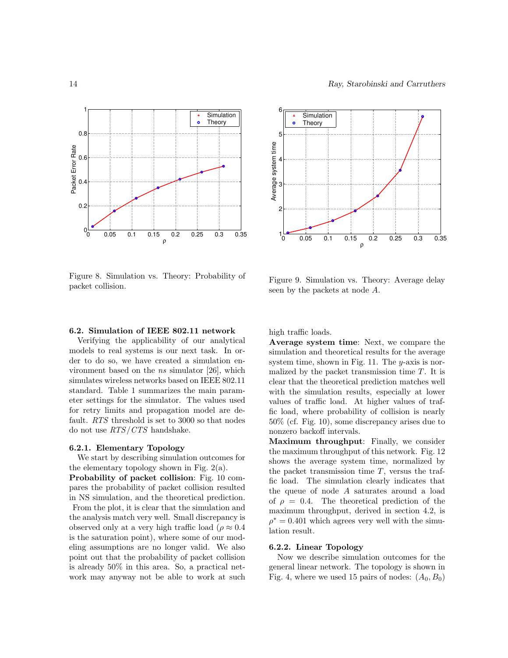



Figure 8. Simulation vs. Theory: Probability of packet collision.

Figure 9. Simulation vs. Theory: Average delay seen by the packets at node A.

#### 6.2. Simulation of IEEE 802.11 network

Verifying the applicability of our analytical models to real systems is our next task. In order to do so, we have created a simulation environment based on the ns simulator [26], which simulates wireless networks based on IEEE 802.11 standard. Table 1 summarizes the main parameter settings for the simulator. The values used for retry limits and propagation model are default. RTS threshold is set to 3000 so that nodes do not use RTS/CTS handshake.

# 6.2.1. Elementary Topology

We start by describing simulation outcomes for the elementary topology shown in Fig.  $2(a)$ .

Probability of packet collision: Fig. 10 compares the probability of packet collision resulted in NS simulation, and the theoretical prediction. From the plot, it is clear that the simulation and the analysis match very well. Small discrepancy is observed only at a very high traffic load ( $\rho \approx 0.4$ ) is the saturation point), where some of our modeling assumptions are no longer valid. We also point out that the probability of packet collision is already 50% in this area. So, a practical network may anyway not be able to work at such high traffic loads.

Average system time: Next, we compare the simulation and theoretical results for the average system time, shown in Fig. 11. The  $y$ -axis is normalized by the packet transmission time  $T$ . It is clear that the theoretical prediction matches well with the simulation results, especially at lower values of traffic load. At higher values of traffic load, where probability of collision is nearly 50% (cf. Fig. 10), some discrepancy arises due to nonzero backoff intervals.

Maximum throughput: Finally, we consider the maximum throughput of this network. Fig. 12 shows the average system time, normalized by the packet transmission time  $T$ , versus the traffic load. The simulation clearly indicates that the queue of node A saturates around a load of  $\rho = 0.4$ . The theoretical prediction of the maximum throughput, derived in section 4.2, is  $\rho^* = 0.401$  which agrees very well with the simulation result.

## 6.2.2. Linear Topology

Now we describe simulation outcomes for the general linear network. The topology is shown in Fig. 4, where we used 15 pairs of nodes:  $(A_0, B_0)$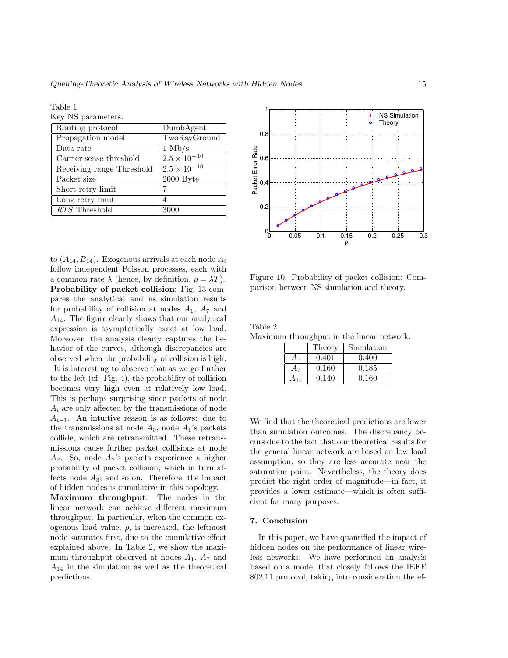Table 1

Key NS parameters.

| Routing protocol           | DumbAgent             |
|----------------------------|-----------------------|
| Propagation model          | TwoRayGround          |
| Data rate                  | $1 \text{ Mb/s}$      |
| Carrier sense threshold    | $2.5 \times 10^{-10}$ |
| Receiving range Threshold  | $2.5 \times 10^{-10}$ |
| Packet size                | 2000 Byte             |
| Short retry limit          |                       |
| Long retry limit           | 4                     |
| $\overline{RTS}$ Threshold | 3000                  |
|                            |                       |

to  $(A_{14}, B_{14})$ . Exogenous arrivals at each node  $A_i$ follow independent Poisson processes, each with a common rate  $\lambda$  (hence, by definition,  $\rho = \lambda T$ ). Probability of packet collision: Fig. 13 compares the analytical and ns simulation results for probability of collision at nodes  $A_1$ ,  $A_7$  and  $A_{14}$ . The figure clearly shows that our analytical expression is asymptotically exact at low load. Moreover, the analysis clearly captures the behavior of the curves, although discrepancies are observed when the probability of collision is high.

It is interesting to observe that as we go further to the left (cf. Fig. 4), the probability of collision becomes very high even at relatively low load. This is perhaps surprising since packets of node  $A_i$  are only affected by the transmissions of node  $A_{i-1}$ . An intuitive reason is as follows: due to the transmissions at node  $A_0$ , node  $A_1$ 's packets collide, which are retransmitted. These retransmissions cause further packet collisions at node  $A_2$ . So, node  $A_2$ 's packets experience a higher probability of packet collision, which in turn affects node  $A_3$ ; and so on. Therefore, the impact of hidden nodes is cumulative in this topology.

Maximum throughput: The nodes in the linear network can achieve different maximum throughput. In particular, when the common exogenous load value,  $\rho$ , is increased, the leftmost node saturates first, due to the cumulative effect explained above. In Table 2, we show the maximum throughput observed at nodes  $A_1$ ,  $A_7$  and  $A_{14}$  in the simulation as well as the theoretical predictions.



Figure 10. Probability of packet collision: Comparison between NS simulation and theory.

| Table 2                                   |  |  |  |
|-------------------------------------------|--|--|--|
| Maximum throughput in the linear network. |  |  |  |
|                                           |  |  |  |

|       | Theory | Simulation |
|-------|--------|------------|
|       | 0.401  | 0.400      |
| $A_7$ | 0.160  | 0.185      |
| A14   | 0.140  | 0.160      |

We find that the theoretical predictions are lower than simulation outcomes. The discrepancy occurs due to the fact that our theoretical results for the general linear network are based on low load assumption, so they are less accurate near the saturation point. Nevertheless, the theory does predict the right order of magnitude—in fact, it provides a lower estimate—which is often sufficient for many purposes.

#### 7. Conclusion

In this paper, we have quantified the impact of hidden nodes on the performance of linear wireless networks. We have performed an analysis based on a model that closely follows the IEEE 802.11 protocol, taking into consideration the ef-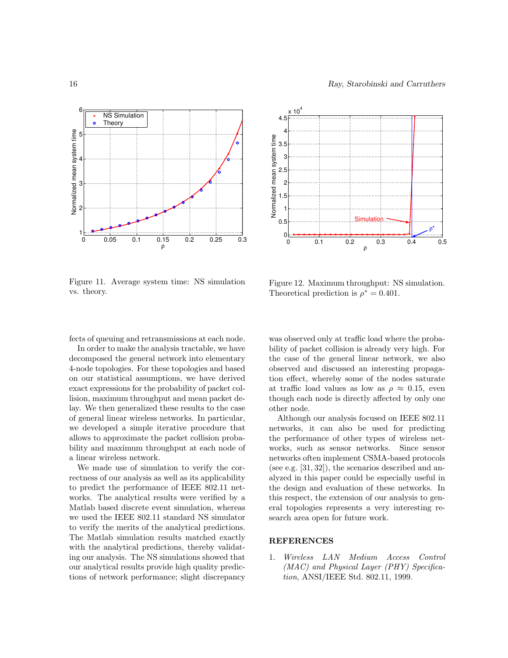



Figure 11. Average system time: NS simulation vs. theory.

Figure 12. Maximum throughput: NS simulation. Theoretical prediction is  $\rho^* = 0.401$ .

fects of queuing and retransmissions at each node.

In order to make the analysis tractable, we have decomposed the general network into elementary 4-node topologies. For these topologies and based on our statistical assumptions, we have derived exact expressions for the probability of packet collision, maximum throughput and mean packet delay. We then generalized these results to the case of general linear wireless networks. In particular, we developed a simple iterative procedure that allows to approximate the packet collision probability and maximum throughput at each node of a linear wireless network.

We made use of simulation to verify the correctness of our analysis as well as its applicability to predict the performance of IEEE 802.11 networks. The analytical results were verified by a Matlab based discrete event simulation, whereas we used the IEEE 802.11 standard NS simulator to verify the merits of the analytical predictions. The Matlab simulation results matched exactly with the analytical predictions, thereby validating our analysis. The NS simulations showed that our analytical results provide high quality predictions of network performance; slight discrepancy was observed only at traffic load where the probability of packet collision is already very high. For the case of the general linear network, we also observed and discussed an interesting propagation effect, whereby some of the nodes saturate at traffic load values as low as  $\rho \approx 0.15$ , even though each node is directly affected by only one other node.

Although our analysis focused on IEEE 802.11 networks, it can also be used for predicting the performance of other types of wireless networks, such as sensor networks. Since sensor networks often implement CSMA-based protocols (see e.g. [31, 32]), the scenarios described and analyzed in this paper could be especially useful in the design and evaluation of these networks. In this respect, the extension of our analysis to general topologies represents a very interesting research area open for future work.

# **REFERENCES**

1. Wireless LAN Medium Access Control (MAC) and Physical Layer (PHY) Specification, ANSI/IEEE Std. 802.11, 1999.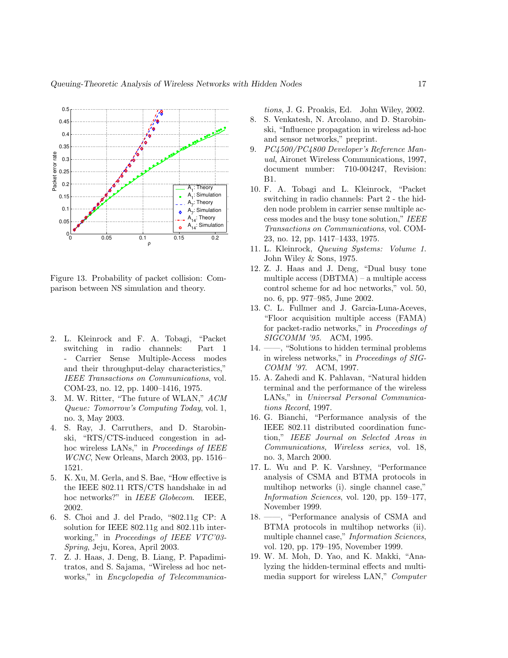

Figure 13. Probability of packet collision: Comparison between NS simulation and theory.

- 2. L. Kleinrock and F. A. Tobagi, "Packet switching in radio channels: Part 1 - Carrier Sense Multiple-Access modes and their throughput-delay characteristics," IEEE Transactions on Communications, vol. COM-23, no. 12, pp. 1400–1416, 1975.
- 3. M. W. Ritter, "The future of WLAN," ACM Queue: Tomorrow's Computing Today, vol. 1, no. 3, May 2003.
- 4. S. Ray, J. Carruthers, and D. Starobinski, "RTS/CTS-induced congestion in adhoc wireless LANs," in Proceedings of IEEE WCNC, New Orleans, March 2003, pp. 1516– 1521.
- 5. K. Xu, M. Gerla, and S. Bae, "How effective is the IEEE 802.11 RTS/CTS handshake in ad hoc networks?" in IEEE Globecom. IEEE, 2002.
- 6. S. Choi and J. del Prado, "802.11g CP: A solution for IEEE 802.11g and 802.11b interworking," in *Proceedings of IEEE VTC'03*-Spring, Jeju, Korea, April 2003.
- 7. Z. J. Haas, J. Deng, B. Liang, P. Papadimitratos, and S. Sajama, "Wireless ad hoc networks," in Encyclopedia of Telecommunica-

tions, J. G. Proakis, Ed. John Wiley, 2002. 8. S. Venkatesh, N. Arcolano, and D. Starobinski, "Influence propagation in wireless ad-hoc and sensor networks," preprint.

- 9. PC4500/PC4800 Developer's Reference Manual, Aironet Wireless Communications, 1997, document number: 710-004247, Revision: B1.
- 10. F. A. Tobagi and L. Kleinrock, "Packet switching in radio channels: Part 2 - the hidden node problem in carrier sense multiple access modes and the busy tone solution," IEEE Transactions on Communications, vol. COM-23, no. 12, pp. 1417–1433, 1975.
- 11. L. Kleinrock, Queuing Systems: Volume 1. John Wiley & Sons, 1975.
- 12. Z. J. Haas and J. Deng, "Dual busy tone multiple access (DBTMA) – a multiple access control scheme for ad hoc networks," vol. 50, no. 6, pp. 977–985, June 2002.
- 13. C. L. Fullmer and J. Garcia-Luna-Aceves, "Floor acquisition multiple access (FAMA) for packet-radio networks," in Proceedings of SIGCOMM '95. ACM, 1995.
- 14. ——, "Solutions to hidden terminal problems in wireless networks," in Proceedings of SIG-COMM '97. ACM, 1997.
- 15. A. Zahedi and K. Pahlavan, "Natural hidden terminal and the performance of the wireless LANs," in Universal Personal Communications Record, 1997.
- 16. G. Bianchi, "Performance analysis of the IEEE 802.11 distributed coordination function," IEEE Journal on Selected Areas in Communications, Wireless series, vol. 18, no. 3, March 2000.
- 17. L. Wu and P. K. Varshney, "Performance analysis of CSMA and BTMA protocols in multihop networks (i). single channel case," Information Sciences, vol. 120, pp. 159–177, November 1999.
- 18. ——, "Performance analysis of CSMA and BTMA protocols in multihop networks (ii). multiple channel case," *Information Sciences*, vol. 120, pp. 179–195, November 1999.
- 19. W. M. Moh, D. Yao, and K. Makki, "Analyzing the hidden-terminal effects and multimedia support for wireless LAN," Computer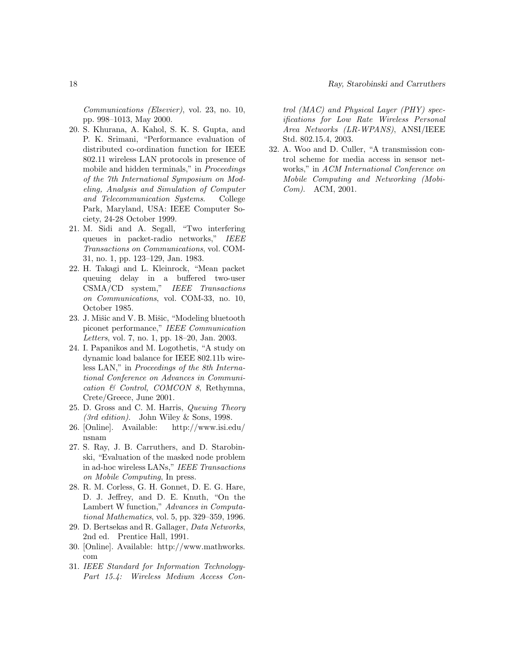Communications (Elsevier), vol. 23, no. 10, pp. 998–1013, May 2000.

- 20. S. Khurana, A. Kahol, S. K. S. Gupta, and P. K. Srimani, "Performance evaluation of distributed co-ordination function for IEEE 802.11 wireless LAN protocols in presence of mobile and hidden terminals," in Proceedings of the 7th International Symposium on Modeling, Analysis and Simulation of Computer and Telecommunication Systems. College Park, Maryland, USA: IEEE Computer Society, 24-28 October 1999.
- 21. M. Sidi and A. Segall, "Two interfering queues in packet-radio networks," IEEE Transactions on Communications, vol. COM-31, no. 1, pp. 123–129, Jan. 1983.
- 22. H. Takagi and L. Kleinrock, "Mean packet queuing delay in a buffered two-user CSMA/CD system," IEEE Transactions on Communications, vol. COM-33, no. 10, October 1985.
- 23. J. Mišic and V. B. Mišic, "Modeling bluetooth piconet performance," IEEE Communication Letters, vol. 7, no. 1, pp. 18–20, Jan. 2003.
- 24. I. Papanikos and M. Logothetis, "A study on dynamic load balance for IEEE 802.11b wireless LAN," in Proceedings of the 8th International Conference on Advances in Communication & Control, COMCON 8, Rethymna, Crete/Greece, June 2001.
- 25. D. Gross and C. M. Harris, Queuing Theory (3rd edition). John Wiley & Sons, 1998.
- 26. [Online]. Available: http://www.isi.edu/ nsnam
- 27. S. Ray, J. B. Carruthers, and D. Starobinski, "Evaluation of the masked node problem in ad-hoc wireless LANs," IEEE Transactions on Mobile Computing, In press.
- 28. R. M. Corless, G. H. Gonnet, D. E. G. Hare, D. J. Jeffrey, and D. E. Knuth, "On the Lambert W function," Advances in Computational Mathematics, vol. 5, pp. 329–359, 1996.
- 29. D. Bertsekas and R. Gallager, Data Networks, 2nd ed. Prentice Hall, 1991.
- 30. [Online]. Available: http://www.mathworks. com
- 31. IEEE Standard for Information Technology-Part 15.4: Wireless Medium Access Con-

trol (MAC) and Physical Layer (PHY) specifications for Low Rate Wireless Personal Area Networks (LR-WPANS), ANSI/IEEE Std. 802.15.4, 2003.

32. A. Woo and D. Culler, "A transmission control scheme for media access in sensor networks," in ACM International Conference on Mobile Computing and Networking (Mobi-Com). ACM, 2001.